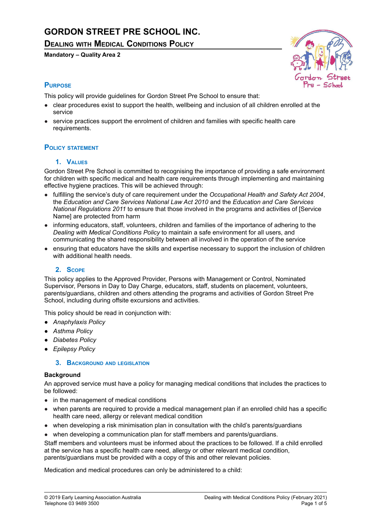# **GORDON STREET PRE SCHOOL INC.**

**DEALING WITH MEDICAL CONDITIONS POLICY**

**Mandatory – Quality Area 2**



# **PURPOSE**

This policy will provide guidelines for Gordon Street Pre School to ensure that:

- clear procedures exist to support the health, wellbeing and inclusion of all children enrolled at the service
- service practices support the enrolment of children and families with specific health care requirements.

# **POLICY STATEMENT**

# **1. VALUES**

Gordon Street Pre School is committed to recognising the importance of providing a safe environment for children with specific medical and health care requirements through implementing and maintaining effective hygiene practices. This will be achieved through:

- fulfilling the service's duty of care requirement under the *Occupational Health and Safety Act 2004*, the *Education and Care Services National Law Act 2010* and the *Education and Care Services National Regulations 2011* to ensure that those involved in the programs and activities of [Service Name] are protected from harm
- informing educators, staff, volunteers, children and families of the importance of adhering to the *Dealing with Medical Conditions Policy* to maintain a safe environment for all users, and communicating the shared responsibility between all involved in the operation of the service
- ensuring that educators have the skills and expertise necessary to support the inclusion of children with additional health needs.

# **2. SCOPE**

This policy applies to the Approved Provider, Persons with Management or Control, Nominated Supervisor, Persons in Day to Day Charge, educators, staff, students on placement, volunteers, parents/guardians, children and others attending the programs and activities of Gordon Street Pre School, including during offsite excursions and activities.

This policy should be read in conjunction with:

- *● Anaphylaxis Policy*
- *● Asthma Policy*
- *● Diabetes Policy*
- *● Epilepsy Policy*

# **3. BACKGROUND AND LEGISLATION**

#### **Background**

An approved service must have a policy for managing medical conditions that includes the practices to be followed:

- in the management of medical conditions
- when parents are required to provide a medical management plan if an enrolled child has a specific health care need, allergy or relevant medical condition
- when developing a risk minimisation plan in consultation with the child's parents/guardians
- when developing a communication plan for staff members and parents/guardians.

Staff members and volunteers must be informed about the practices to be followed. If a child enrolled at the service has a specific health care need, allergy or other relevant medical condition, parents/guardians must be provided with a copy of this and other relevant policies.

Medication and medical procedures can only be administered to a child: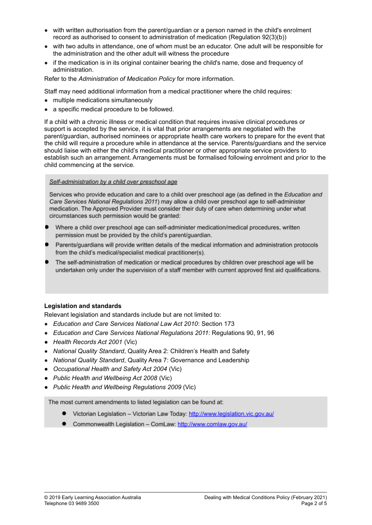- with written authorisation from the parent/guardian or a person named in the child's enrolment record as authorised to consent to administration of medication (Regulation 92(3)(b))
- with two adults in attendance, one of whom must be an educator. One adult will be responsible for the administration and the other adult will witness the procedure
- if the medication is in its original container bearing the child's name, dose and frequency of administration.

Refer to the *Administration of Medication Policy* for more information.

Staff may need additional information from a medical practitioner where the child requires:

- multiple medications simultaneously
- a specific medical procedure to be followed.

If a child with a chronic illness or medical condition that requires invasive clinical procedures or support is accepted by the service, it is vital that prior arrangements are negotiated with the parent/guardian, authorised nominees or appropriate health care workers to prepare for the event that the child will require a procedure while in attendance at the service. Parents/guardians and the service should liaise with either the child's medical practitioner or other appropriate service providers to establish such an arrangement. Arrangements must be formalised following enrolment and prior to the child commencing at the service.

#### Self-administration by a child over preschool age

Services who provide education and care to a child over preschool age (as defined in the Education and Care Services National Regulations 2011) may allow a child over preschool age to self-administer medication. The Approved Provider must consider their duty of care when determining under what circumstances such permission would be granted:

- Where a child over preschool age can self-administer medication/medical procedures, written permission must be provided by the child's parent/guardian.
- Parents/quardians will provide written details of the medical information and administration protocols from the child's medical/specialist medical practitioner(s).
- The self-administration of medication or medical procedures by children over preschool age will be undertaken only under the supervision of a staff member with current approved first aid qualifications.

#### **Legislation and standards**

Relevant legislation and standards include but are not limited to:

- *Education and Care Services National Law Act 2010*: Section 173
- *Education and Care Services National Regulations 2011*: Regulations 90, 91, 96
- *● Health Records Act 2001* (Vic)
- *National Quality Standard*, Quality Area 2: Children's Health and Safety
- *National Quality Standard*, Quality Area 7: Governance and Leadership
- *● Occupational Health and Safety Act 2004* (Vic)
- *● Public Health and Wellbeing Act 2008* (Vic)
- *● Public Health and Wellbeing Regulations 2009* (Vic)

The most current amendments to listed legislation can be found at:

- Victorian Legislation Victorian Law Today: http://www.legislation.vic.gov.au/
- Commonwealth Legislation ComLaw: http://www.comlaw.gov.au/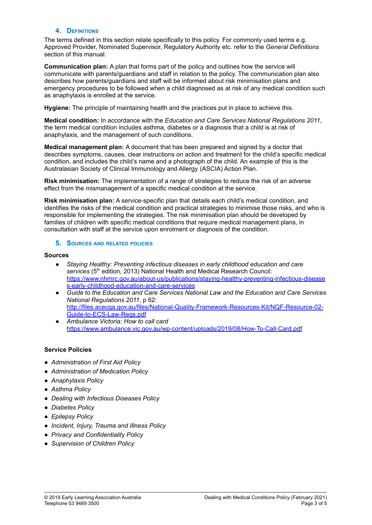#### **4. DEFINITIONS**

The terms defined in this section relate specifically to this policy. For commonly used terms e.g. Approved Provider, Nominated Supervisor, Regulatory Authority etc. refer to the *General Definitions* section of this manual.

**Communication plan:** A plan that forms part of the policy and outlines how the service will communicate with parents/guardians and staff in relation to the policy. The communication plan also describes how parents/guardians and staff will be informed about risk minimisation plans and emergency procedures to be followed when a child diagnosed as at risk of any medical condition such as anaphylaxis is enrolled at the service.

**Hygiene:** The principle of maintaining health and the practices put in place to achieve this.

**Medical condition:** In accordance with the *Education and Care Services National Regulations 2011*, the term medical condition includes asthma, diabetes or a diagnosis that a child is at risk of anaphylaxis, and the management of such conditions.

**Medical management plan:** A document that has been prepared and signed by a doctor that describes symptoms, causes, clear instructions on action and treatment for the child's specific medical condition, and includes the child's name and a photograph of the child. An example of this is the Australasian Society of Clinical Immunology and Allergy (ASCIA) Action Plan.

**Risk minimisation:** The implementation of a range of strategies to reduce the risk of an adverse effect from the mismanagement of a specific medical condition at the service.

**Risk minimisation plan:** A service-specific plan that details each child's medical condition, and identifies the risks of the medical condition and practical strategies to minimise those risks, and who is responsible for implementing the strategies. The risk minimisation plan should be developed by families of children with specific medical conditions that require medical management plans, in consultation with staff at the service upon enrolment or diagnosis of the condition.

#### **5. SOURCES AND RELATED POLICIES**

#### **Sources**

- *Staying Healthy: Preventing infectious diseases in early childhood education and care* services (5<sup>th</sup> edition, 2013) National Health and Medical Research Council: [https://www.nhmrc.gov.au/about-us/publications/staying-healthy-preventing-infectious-disease](https://www.nhmrc.gov.au/about-us/publications/staying-healthy-preventing-infectious-diseases-early-childhood-education-and-care-services) [s-early-childhood-education-and-care-services](https://www.nhmrc.gov.au/about-us/publications/staying-healthy-preventing-infectious-diseases-early-childhood-education-and-care-services)
- *Guide to the Education and Care Services National Law and the Education and Care Services National Regulations 2011*, p 62: [http://files.acecqa.gov.au/files/National-Quality-Framework-Resources-Kit/NQF-Resource-02-](http://files.acecqa.gov.au/files/National-Quality-Framework-Resources-Kit/NQF-Resource-02-Guide-to-ECS-Law-Regs.pdf) [Guide-to-ECS-Law-Regs.pdf](http://files.acecqa.gov.au/files/National-Quality-Framework-Resources-Kit/NQF-Resource-02-Guide-to-ECS-Law-Regs.pdf)
- *Ambulance Victoria: How to call card* <https://www.ambulance.vic.gov.au/wp-content/uploads/2019/08/How-To-Call-Card.pdf>

#### **Service Policies**

- *● Administration of First Aid Policy*
- *● Administration of Medication Policy*
- *● Anaphylaxis Policy*
- *● Asthma Policy*
- *● Dealing with Infectious Diseases Policy*
- *● Diabetes Policy*
- *● Epilepsy Policy*
- *● Incident, Injury, Trauma and Illness Policy*
- *● Privacy and Confidentiality Policy*
- *● Supervision of Children Policy*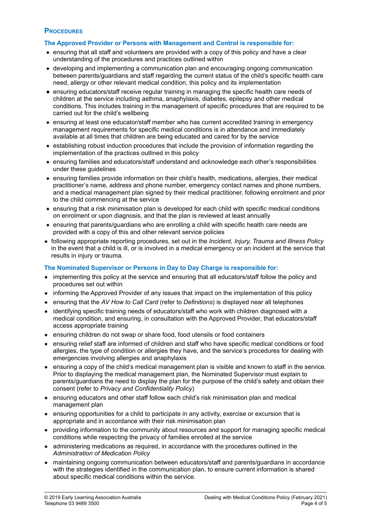### **PROCEDURES**

#### **The Approved Provider or Persons with Management and Control is responsible for:**

- ensuring that all staff and volunteers are provided with a copy of this policy and have a clear understanding of the procedures and practices outlined within
- developing and implementing a communication plan and encouraging ongoing communication between parents/guardians and staff regarding the current status of the child's specific health care need, allergy or other relevant medical condition, this policy and its implementation
- **●** ensuring educators/staff receive regular training in managing the specific health care needs of children at the service including asthma, anaphylaxis, diabetes, epilepsy and other medical conditions. This includes training in the management of specific procedures that are required to be carried out for the child's wellbeing
- ensuring at least one educator/staff member who has current accredited training in emergency management requirements for specific medical conditions is in attendance and immediately available at all times that children are being educated and cared for by the service
- establishing robust induction procedures that include the provision of information regarding the implementation of the practices outlined in this policy
- ensuring families and educators/staff understand and acknowledge each other's responsibilities under these guidelines
- ensuring families provide information on their child's health, medications, allergies, their medical practitioner's name, address and phone number, emergency contact names and phone numbers, and a medical management plan signed by their medical practitioner, following enrolment and prior to the child commencing at the service
- ensuring that a risk minimisation plan is developed for each child with specific medical conditions on enrolment or upon diagnosis, and that the plan is reviewed at least annually
- ensuring that parents/guardians who are enrolling a child with specific health care needs are provided with a copy of this and other relevant service policies
- following appropriate reporting procedures, set out in the *Incident, Injury, Trauma and Illness Policy* in the event that a child is ill, or is involved in a medical emergency or an incident at the service that results in injury or trauma.

# **The Nominated Supervisor or Persons in Day to Day Charge is responsible for:**

- implementing this policy at the service and ensuring that all educators/staff follow the policy and procedures set out within
- informing the Approved Provider of any issues that impact on the implementation of this policy
- ensuring that the *AV How to Call Card* (refer to *Definitions*) is displayed near all telephones
- identifying specific training needs of educators/staff who work with children diagnosed with a medical condition, and ensuring, in consultation with the Approved Provider, that educators/staff access appropriate training
- ensuring children do not swap or share food, food utensils or food containers
- ensuring relief staff are informed of children and staff who have specific medical conditions or food allergies, the type of condition or allergies they have, and the service's procedures for dealing with emergencies involving allergies and anaphylaxis
- ensuring a copy of the child's medical management plan is visible and known to staff in the service. Prior to displaying the medical management plan, the Nominated Supervisor must explain to parents/guardians the need to display the plan for the purpose of the child's safety and obtain their consent (refer to *Privacy and Confidentiality Policy*)
- ensuring educators and other staff follow each child's risk minimisation plan and medical management plan
- ensuring opportunities for a child to participate in any activity, exercise or excursion that is appropriate and in accordance with their risk minimisation plan
- providing information to the community about resources and support for managing specific medical conditions while respecting the privacy of families enrolled at the service
- administering medications as required, in accordance with the procedures outlined in the *Administration of Medication Policy*
- maintaining ongoing communication between educators/staff and parents/guardians in accordance with the strategies identified in the communication plan, to ensure current information is shared about specific medical conditions within the service.